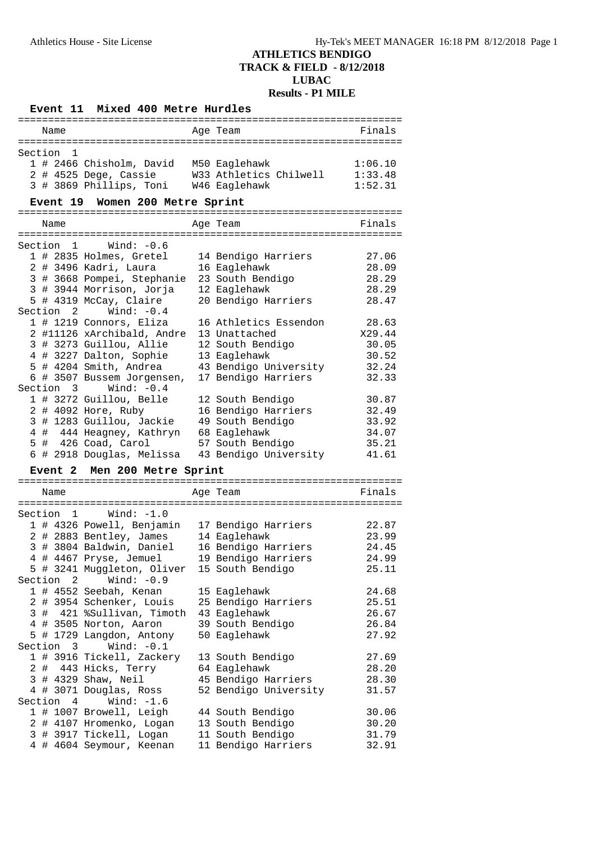## **Event 11 Mixed 400 Metre Hurdles**

|         | Name            |                                                     | Age Team                                | Finals         |
|---------|-----------------|-----------------------------------------------------|-----------------------------------------|----------------|
|         |                 |                                                     |                                         |                |
| Section | 1               |                                                     |                                         |                |
|         |                 | 1 # 2466 Chisholm, David M50 Eaglehawk              |                                         | 1:06.10        |
|         |                 | 2 # 4525 Dege, Cassie                               | W33 Athletics Chilwell                  | 1:33.48        |
|         |                 | 3 # 3869 Phillips, Toni W46 Eaglehawk               |                                         | 1:52.31        |
|         |                 |                                                     |                                         |                |
|         | <b>Event 19</b> | Women 200 Metre Sprint                              |                                         |                |
|         |                 |                                                     |                                         |                |
|         | Name            |                                                     | Age Team                                | Finals         |
|         |                 |                                                     |                                         |                |
|         | Section 1       | Wind: $-0.6$                                        |                                         |                |
|         |                 | 1 # 2835 Holmes, Gretel                             | 14 Bendigo Harriers                     | 27.06          |
|         |                 | 2 # 3496 Kadri, Laura                               | 16 Eaglehawk                            | 28.09          |
|         |                 | 3 # 3668 Pompei, Stephanie                          | 23 South Bendigo                        | 28.29          |
|         |                 | 3 # 3944 Morrison, Jorja                            | 12 Eaglehawk                            | 28.29          |
|         |                 | 5 # 4319 McCay, Claire                              | 20 Bendigo Harriers                     | 28.47          |
|         |                 | Section 2 Wind: -0.4                                |                                         |                |
|         |                 |                                                     | 16 Athletics Essendon                   | 28.63          |
|         |                 | 1 # 1219 Connors, Eliza                             |                                         |                |
|         |                 | 2 #11126 xArchibald, Andre                          | 13 Unattached                           | X29.44         |
|         |                 | 3 # 3273 Guillou, Allie                             | 12 South Bendigo                        | 30.05          |
|         |                 | 4 # 3227 Dalton, Sophie                             | 13 Eaglehawk                            | 30.52          |
|         |                 | 5 # 4204 Smith, Andrea                              | 43 Bendigo University                   | 32.24          |
|         |                 | 6 # 3507 Bussem Jorgensen,                          | 17 Bendigo Harriers                     | 32.33          |
|         |                 | Section 3 Wind: -0.4                                |                                         |                |
|         |                 | 1 # 3272 Guillou, Belle                             | 12 South Bendigo                        | 30.87          |
|         |                 | 2 # 4092 Hore, Ruby                                 | 16 Bendigo Harriers                     | 32.49          |
|         |                 | 3 # 1283 Guillou, Jackie                            | 49 South Bendigo                        | 33.92          |
|         |                 | 4 # 444 Heagney, Kathryn                            | 68 Eaglehawk                            | 34.07          |
|         |                 |                                                     |                                         |                |
|         |                 |                                                     |                                         |                |
|         |                 | 5 # 426 Coad, Carol                                 | 57 South Bendigo                        | 35.21          |
|         |                 | 6 # 2918 Douglas, Melissa                           | 43 Bendigo University                   | 41.61          |
|         |                 | Event 2 Men 200 Metre Sprint                        |                                         |                |
|         |                 |                                                     |                                         |                |
|         | Name            |                                                     | Age Team                                | Finals         |
|         |                 |                                                     |                                         |                |
| Section |                 | 1 Wind: -1.0                                        |                                         |                |
|         |                 | 1 # 4326 Powell, Benjamin                           | 17 Bendigo Harriers                     | 22.87          |
|         |                 | 2 # 2883 Bentley, James                             | 14 Eaglehawk                            | 23.99          |
|         |                 | 3 # 3804 Baldwin, Daniel                            | 16 Bendigo Harriers                     | 24.45          |
|         |                 | 4 # 4467 Pryse, Jemuel                              | 19 Bendigo Harriers                     | 24.99          |
|         |                 | 5 # 3241 Muggleton, Oliver                          | 15 South Bendigo                        | 25.11          |
| Section | 2               | Wind: $-0.9$                                        |                                         |                |
|         |                 |                                                     |                                         |                |
|         |                 | 1 # 4552 Seebah, Kenan                              | 15 Eaglehawk                            | 24.68          |
|         |                 | 2 # 3954 Schenker, Louis                            | 25 Bendigo Harriers                     | 25.51          |
|         |                 | 3 # 421 %Sullivan, Timoth                           | 43 Eaglehawk                            | 26.67          |
|         |                 | 4 # 3505 Norton, Aaron                              | 39 South Bendigo                        | 26.84          |
|         |                 | 5 # 1729 Langdon, Antony                            | 50 Eaglehawk                            | 27.92          |
| Section |                 | Wind: $-0.1$<br>$3^{\circ}$                         |                                         |                |
|         |                 | 1 # 3916 Tickell, Zackery                           | 13 South Bendigo                        | 27.69          |
|         |                 | 2 # 443 Hicks, Terry                                | 64 Eaglehawk                            | 28.20          |
|         |                 | 3 # 4329 Shaw, Neil                                 | 45 Bendigo Harriers                     | 28.30          |
|         |                 | 4 # 3071 Douglas, Ross                              | 52 Bendigo University                   | 31.57          |
| Section | $4\overline{ }$ | Wind: $-1.6$                                        |                                         |                |
|         |                 | 1 # 1007 Browell, Leigh                             | 44 South Bendigo                        | 30.06          |
|         |                 | 2 # 4107 Hromenko, Logan                            | 13 South Bendigo                        | 30.20          |
|         |                 | 3 # 3917 Tickell, Logan<br>4 # 4604 Seymour, Keenan | 11 South Bendigo<br>11 Bendigo Harriers | 31.79<br>32.91 |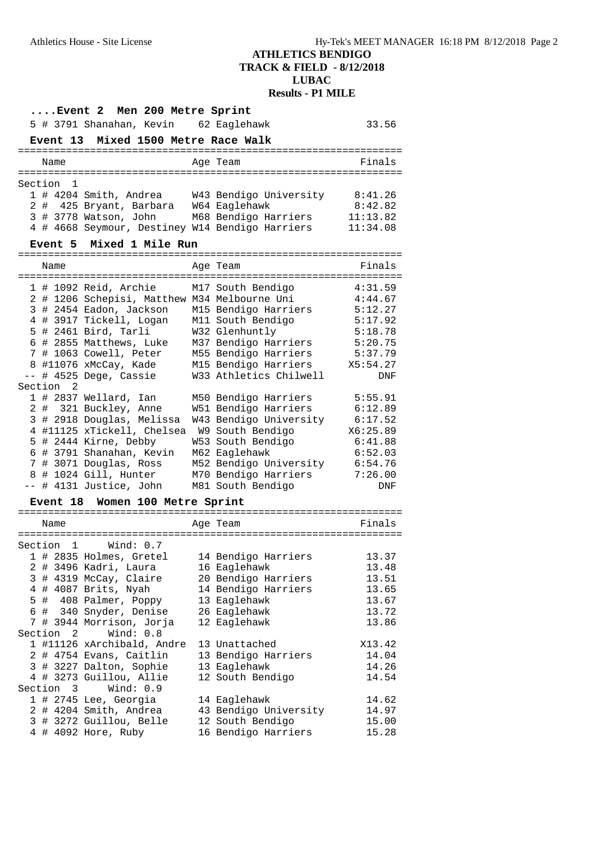| Event 2 Men 200 Metre Sprint        |      |                |                                                 |  |                                               |            |  |  |  |
|-------------------------------------|------|----------------|-------------------------------------------------|--|-----------------------------------------------|------------|--|--|--|
|                                     |      |                | 5 # 3791 Shanahan, Kevin 62 Eaglehawk           |  |                                               | 33.56      |  |  |  |
| Event 13 Mixed 1500 Metre Race Walk |      |                |                                                 |  |                                               |            |  |  |  |
| Age Team<br>Finals<br>Name          |      |                |                                                 |  |                                               |            |  |  |  |
| Section                             |      | -1             |                                                 |  |                                               |            |  |  |  |
|                                     |      |                |                                                 |  | 1 # 4204 Smith, Andrea W43 Bendigo University | 8:41.26    |  |  |  |
|                                     |      |                | 2 # 425 Bryant, Barbara W64 Eaglehawk           |  |                                               | 8:42.82    |  |  |  |
|                                     |      |                | 3 # 3778 Watson, John                           |  | M68 Bendigo Harriers                          | 11:13.82   |  |  |  |
|                                     |      |                | 4 # 4668 Seymour, Destiney W14 Bendigo Harriers |  |                                               | 11:34.08   |  |  |  |
|                                     |      | <b>Event 5</b> | Mixed 1 Mile Run                                |  |                                               |            |  |  |  |
|                                     | Name |                |                                                 |  | Age Team                                      | Finals     |  |  |  |
|                                     |      |                |                                                 |  |                                               |            |  |  |  |
|                                     |      |                | 1 # 1092 Reid, Archie                           |  | M17 South Bendigo                             | 4:31.59    |  |  |  |
|                                     |      |                | 2 # 1206 Schepisi, Matthew M34 Melbourne Uni    |  |                                               | 4:44.67    |  |  |  |
|                                     |      |                | 3 # 2454 Eadon, Jackson                         |  | M15 Bendigo Harriers                          | 5:12.27    |  |  |  |
|                                     |      |                | 4 # 3917 Tickell, Logan                         |  | M11 South Bendigo                             | 5:17.92    |  |  |  |
|                                     |      |                | 5 # 2461 Bird, Tarli                            |  | W32 Glenhuntly                                | 5:18.78    |  |  |  |
|                                     |      |                | 6 # 2855 Matthews, Luke                         |  | M37 Bendigo Harriers                          | 5:20.75    |  |  |  |
|                                     |      |                | 7 # 1063 Cowell, Peter                          |  | M55 Bendigo Harriers                          | 5:37.79    |  |  |  |
|                                     |      |                | 8 #11076 xMcCay, Kade                           |  | M15 Bendigo Harriers                          | X5:54.27   |  |  |  |
|                                     |      |                | -- # 4525 Dege, Cassie                          |  | W33 Athletics Chilwell                        | DNF        |  |  |  |
| Section                             |      | 2              |                                                 |  |                                               |            |  |  |  |
|                                     |      |                | 1 # 2837 Wellard, Ian                           |  | M50 Bendigo Harriers                          | 5:55.91    |  |  |  |
|                                     |      |                | 2 # 321 Buckley, Anne                           |  | W51 Bendigo Harriers                          | 6:12.89    |  |  |  |
|                                     |      |                | 3 # 2918 Douglas, Melissa                       |  | W43 Bendigo University                        | 6:17.52    |  |  |  |
|                                     |      |                | 4 #11125 xTickell, Chelsea                      |  | W9 South Bendigo                              | X6:25.89   |  |  |  |
|                                     |      |                | 5 # 2444 Kirne, Debby                           |  | W53 South Bendigo                             | 6:41.88    |  |  |  |
|                                     |      |                | 6 # 3791 Shanahan, Kevin                        |  | M62 Eaglehawk                                 | 6:52.03    |  |  |  |
|                                     |      |                | 7 # 3071 Douglas, Ross                          |  | M52 Bendigo University                        | 6:54.76    |  |  |  |
|                                     |      |                | 8 # 1024 Gill, Hunter                           |  | M70 Bendigo Harriers                          | 7:26.00    |  |  |  |
|                                     |      |                | -- # 4131 Justice, John                         |  | M81 South Bendigo                             | <b>DNF</b> |  |  |  |
|                                     |      |                | Event 18 Women 100 Metre Sprint                 |  |                                               |            |  |  |  |
|                                     |      |                |                                                 |  |                                               |            |  |  |  |
|                                     | Name |                |                                                 |  | Age Team                                      | Finals     |  |  |  |
| Section                             |      | 1              | Wind: $0.7$                                     |  |                                               |            |  |  |  |
|                                     |      |                | 1 # 2835 Holmes, Gretel                         |  | 14 Bendigo Harriers                           | 13.37      |  |  |  |
|                                     |      |                | 2 # 3496 Kadri, Laura                           |  | 16 Eaglehawk                                  | 13.48      |  |  |  |
|                                     |      |                | 3 # 4319 McCay, Claire                          |  | 20 Bendigo Harriers                           | 13.51      |  |  |  |
|                                     |      |                | 4 # 4087 Brits, Nyah                            |  | 14 Bendigo Harriers                           | 13.65      |  |  |  |
|                                     |      |                | 5 # 408 Palmer, Poppy                           |  | 13 Eaglehawk                                  | 13.67      |  |  |  |
|                                     |      |                | 6 # 340 Snyder, Denise                          |  | 26 Eaglehawk                                  | 13.72      |  |  |  |
|                                     |      |                | 7 # 3944 Morrison, Jorja                        |  | 12 Eaglehawk                                  | 13.86      |  |  |  |
| Section                             |      | $\overline{2}$ | Wind: 0.8                                       |  |                                               |            |  |  |  |
|                                     |      |                | 1 #11126 xArchibald, Andre                      |  | 13 Unattached                                 | X13.42     |  |  |  |
|                                     |      |                | 2 # 4754 Evans, Caitlin                         |  | 13 Bendigo Harriers                           | 14.04      |  |  |  |
|                                     |      |                | 3 # 3227 Dalton, Sophie                         |  | 13 Eaglehawk                                  | 14.26      |  |  |  |
|                                     |      |                | 4 # 3273 Guillou, Allie                         |  |                                               |            |  |  |  |
|                                     |      | Section 3      | Wind: 0.9                                       |  | 12 South Bendigo                              | 14.54      |  |  |  |
|                                     |      |                | 1 # 2745 Lee, Georgia                           |  | 14 Eaglehawk                                  | 14.62      |  |  |  |
|                                     |      |                | 2 # 4204 Smith, Andrea                          |  | 43 Bendigo University                         | 14.97      |  |  |  |
|                                     |      |                | 3 # 3272 Guillou, Belle                         |  | 12 South Bendigo                              | 15.00      |  |  |  |
|                                     |      |                | 4 # 4092 Hore, Ruby                             |  | 16 Bendigo Harriers                           | 15.28      |  |  |  |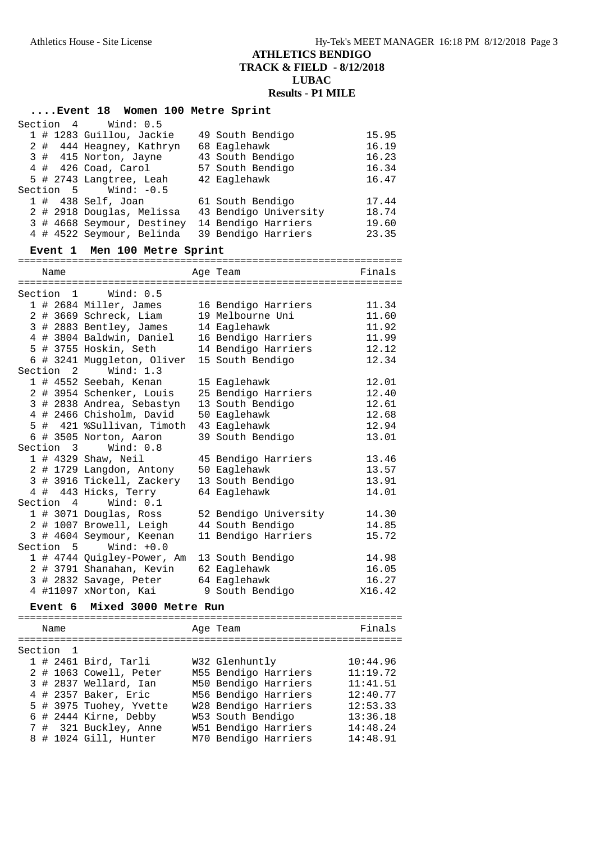## **....Event 18 Women 100 Metre Sprint**

|      | Section 4 Wind: 0.5                            |                             |                                                                                                  |        |
|------|------------------------------------------------|-----------------------------|--------------------------------------------------------------------------------------------------|--------|
|      | 1 # 1283 Guillou, Jackie                       |                             | 49 South Bendigo                                                                                 | 15.95  |
|      | 2 # 444 Heagney, Kathryn                       |                             | 68 Eaglehawk                                                                                     | 16.19  |
|      | 3 # 415 Norton, Jayne                          |                             | 43 South Bendigo                                                                                 | 16.23  |
|      | 4 # 426 Coad, Carol                            |                             | 57 South Bendigo                                                                                 | 16.34  |
|      | 5 # 2743 Langtree, Leah                        |                             | 42 Eaglehawk                                                                                     | 16.47  |
|      | Section 5 Wind: -0.5                           |                             |                                                                                                  |        |
|      | $1$ # 438 Self, Joan                           |                             | 61 South Bendigo                                                                                 | 17.44  |
|      |                                                |                             | 1 # 438 Self, Joan         61 South Bendigo<br>2 # 2918 Douglas, Melissa   43 Bendigo University | 18.74  |
|      | 3 # 4668 Seymour, Destiney 14 Bendigo Harriers |                             |                                                                                                  | 19.60  |
|      | 4 # 4522 Seymour, Belinda 39 Bendigo Harriers  |                             |                                                                                                  | 23.35  |
|      | Event 1 Men 100 Metre Sprint                   |                             |                                                                                                  |        |
| Name |                                                |                             | Age Team                                                                                         | Finals |
|      |                                                |                             |                                                                                                  |        |
|      | Section 1 Wind: 0.5                            |                             |                                                                                                  |        |
|      | 1 # 2684 Miller, James 16 Bendigo Harriers     |                             |                                                                                                  | 11.34  |
|      | 2 # 3669 Schreck, Liam                         |                             | 19 Melbourne Uni                                                                                 | 11.60  |
|      | 3 # 2883 Bentley, James 14 Eaglehawk           |                             |                                                                                                  | 11.92  |
|      | 4 # 3804 Baldwin, Daniel 16 Bendigo Harriers   |                             |                                                                                                  | 11.99  |
|      | 5 # 3755 Hoskin, Seth                          |                             | 14 Bendigo Harriers                                                                              | 12.12  |
|      | 6 # 3241 Muggleton, Oliver                     |                             | 15 South Bendigo                                                                                 | 12.34  |
|      | Section 2 Wind: 1.3                            |                             |                                                                                                  |        |
|      | 1 # 4552 Seebah, Kenan                         |                             | 15 Eaglehawk                                                                                     | 12.01  |
|      | 2 # 3954 Schenker, Louis                       |                             | 25 Bendigo Harriers                                                                              | 12.40  |
|      | 3 # 2838 Andrea, Sebastyn                      |                             | 13 South Bendigo                                                                                 | 12.61  |
|      | 4 # 2466 Chisholm, David                       |                             | 50 Eaglehawk                                                                                     | 12.68  |
|      | 5 # 421 %Sullivan, Timoth                      |                             | 43 Eaglehawk                                                                                     | 12.94  |
|      | 6 # 3505 Norton, Aaron                         |                             | 39 South Bendigo                                                                                 | 13.01  |
|      | Section 3 Wind: 0.8                            |                             |                                                                                                  |        |
|      | 1 # 4329 Shaw, Neil                            |                             | 45 Bendigo Harriers                                                                              | 13.46  |
|      | 2 # 1729 Langdon, Antony 50 Eaglehawk          |                             |                                                                                                  | 13.57  |
|      | 3 # 3916 Tickell, Zackery 13 South Bendigo     |                             |                                                                                                  | 13.91  |
|      | 4 # 443 Hicks, Terry                           |                             | 64 Eaglehawk                                                                                     | 14.01  |
|      | Section 4 Wind: 0.1                            |                             |                                                                                                  |        |
|      | 1 # 3071 Douglas, Ross                         |                             | 52 Bendigo University                                                                            | 14.30  |
|      | 2 # 1007 Browell, Leigh                        |                             | 44 South Bendigo                                                                                 | 14.85  |
|      | 3 # 4604 Seymour, Keenan                       |                             | 11 Bendigo Harriers                                                                              | 15.72  |
|      | Section $5$ Wind: $+0.0$                       |                             |                                                                                                  |        |
|      | 1 # 4744 Quigley-Power, Am 13 South Bendigo    |                             |                                                                                                  | 14.98  |
|      | 2 # 3791 Shanahan, Kevin 62 Eaglehawk          |                             |                                                                                                  | 16.05  |
|      | 3 # 2832 Savage, Peter                         |                             | 64 Eaglehawk                                                                                     | 16.27  |
|      | 4 #11097 xNorton, Kai 9 South Bendigo          |                             |                                                                                                  | X16.42 |
|      | Event 6 Mixed 3000 Metre Run                   |                             |                                                                                                  |        |
|      |                                                | $\sim$ $\sim$ $\sim$ $\sim$ |                                                                                                  |        |

|         | Name |                         | Age Team             | Finals   |
|---------|------|-------------------------|----------------------|----------|
|         |      |                         |                      |          |
| Section |      |                         |                      |          |
|         |      | $1$ # 2461 Bird, Tarli  | W32 Glenhuntly       | 10:44.96 |
|         |      | 2 # 1063 Cowell, Peter  | M55 Bendigo Harriers | 11:19.72 |
|         |      | 3 # 2837 Wellard, Ian   | M50 Bendigo Harriers | 11:41.51 |
|         |      | 4 # 2357 Baker, Eric    | M56 Bendigo Harriers | 12:40.77 |
|         |      | 5 # 3975 Tuohey, Yvette | W28 Bendigo Harriers | 12:53.33 |
|         |      | 6 # 2444 Kirne, Debby   | W53 South Bendigo    | 13:36.18 |
|         |      | 7 # 321 Buckley, Anne   | W51 Bendigo Harriers | 14:48.24 |
|         |      | 8 # 1024 Gill, Hunter   | M70 Bendigo Harriers | 14:48.91 |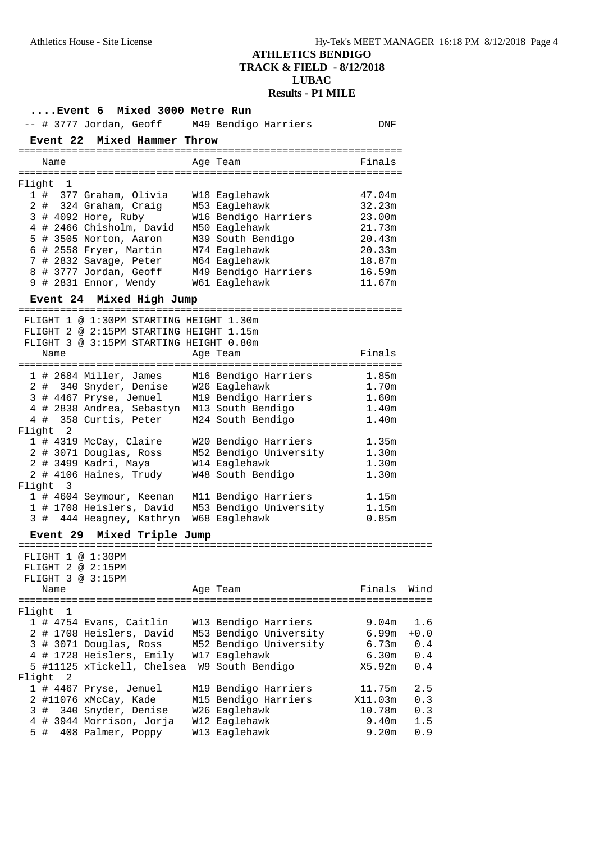| Event 6 Mixed 3000 Metre Run                                                                                                       |  |                        |                   |        |  |  |  |  |
|------------------------------------------------------------------------------------------------------------------------------------|--|------------------------|-------------------|--------|--|--|--|--|
| -- # 3777 Jordan, Geoff M49 Bendigo Harriers                                                                                       |  |                        | DNF               |        |  |  |  |  |
| Event 22 Mixed Hammer Throw                                                                                                        |  |                        |                   |        |  |  |  |  |
| Name                                                                                                                               |  | Age Team               | Finals            |        |  |  |  |  |
|                                                                                                                                    |  |                        |                   |        |  |  |  |  |
| Flight 1                                                                                                                           |  |                        |                   |        |  |  |  |  |
| 1 # 377 Graham, Olivia                                                                                                             |  | W18 Eaglehawk          | 47.04m            |        |  |  |  |  |
| 2 # 324 Graham, Craig M53 Eaglehawk                                                                                                |  |                        | 32.23m            |        |  |  |  |  |
| 3 # 4092 Hore, Ruby                                                                                                                |  | W16 Bendigo Harriers   | 23.00m            |        |  |  |  |  |
| 4 # 2466 Chisholm, David M50 Eaglehawk                                                                                             |  |                        | 21.73m            |        |  |  |  |  |
| 5 # 3505 Norton, Aaron M39 South Bendigo                                                                                           |  |                        | 20.43m            |        |  |  |  |  |
| 6 # 2558 Fryer, Martin M74 Eaglehawk<br>7 # 2832 Savage, Peter M64 Eaglehawk                                                       |  |                        | 20.33m            |        |  |  |  |  |
|                                                                                                                                    |  |                        | 18.87m            |        |  |  |  |  |
| 8 # 3777 Jordan, Geoff M49 Bendigo Harriers                                                                                        |  |                        | 16.59m            |        |  |  |  |  |
| 9 # 2831 Ennor, Wendy W61 Eaglehawk                                                                                                |  |                        | 11.67m            |        |  |  |  |  |
| Event 24 Mixed High Jump                                                                                                           |  |                        |                   |        |  |  |  |  |
| FLIGHT 1 @ 1:30PM STARTING HEIGHT 1.30m                                                                                            |  |                        |                   |        |  |  |  |  |
| FLIGHT 2 @ 2:15PM STARTING HEIGHT 1.15m                                                                                            |  |                        |                   |        |  |  |  |  |
| FLIGHT 3 @ 3:15PM STARTING HEIGHT 0.80m                                                                                            |  |                        |                   |        |  |  |  |  |
| Name                                                                                                                               |  | Age Team               | Finals            |        |  |  |  |  |
|                                                                                                                                    |  |                        | 1.85m             |        |  |  |  |  |
| 1 # 2684 Miller, James M16 Bendigo Harriers<br>2 # 340 Snyder, Denise W26 Eaglehawk                                                |  |                        | 1.70m             |        |  |  |  |  |
| 3 # 4467 Pryse, Jemuel M19 Bendigo Harriers                                                                                        |  |                        | 1.60m             |        |  |  |  |  |
| 4 # 2838 Andrea, Sebastyn M13 South Bendigo                                                                                        |  |                        | 1.40m             |        |  |  |  |  |
| 4 # 358 Curtis, Peter M24 South Bendigo                                                                                            |  |                        | 1.40m             |        |  |  |  |  |
| Flight 2                                                                                                                           |  |                        |                   |        |  |  |  |  |
|                                                                                                                                    |  |                        | 1.35m<br>1.30m    |        |  |  |  |  |
| 1 # 4319 McCay, Claire W20 Bendigo Harriers<br>2 # 3071 Douglas, Ross M52 Bendigo University<br>2 # 3499 Kadri, Maya W14 Eaglehawk |  |                        | 1.30m             |        |  |  |  |  |
| 2 # 4106 Haines, Trudy                                                                                                             |  | W48 South Bendigo      | 1.30m             |        |  |  |  |  |
| Flight 3                                                                                                                           |  |                        |                   |        |  |  |  |  |
|                                                                                                                                    |  |                        | 1.15m             |        |  |  |  |  |
| 1 # 4604 Seymour, Keenan M11 Bendigo Harriers<br>1 # 1708 Heislers, David M53 Bendigo University                                   |  |                        | 1.15m             |        |  |  |  |  |
| 3 # 444 Heagney, Kathryn W68 Eaglehawk                                                                                             |  |                        | 0.85m             |        |  |  |  |  |
| Mixed Triple Jump<br><b>Event 29</b>                                                                                               |  |                        |                   |        |  |  |  |  |
| FLIGHT 1 @ 1:30PM                                                                                                                  |  |                        |                   |        |  |  |  |  |
| FLIGHT 2 @ 2:15PM                                                                                                                  |  |                        |                   |        |  |  |  |  |
| FLIGHT 3 @ 3:15PM                                                                                                                  |  |                        |                   |        |  |  |  |  |
| Name                                                                                                                               |  | Age Team               | Finals            | Wind   |  |  |  |  |
|                                                                                                                                    |  |                        |                   |        |  |  |  |  |
| Flight<br>1<br>1 # 4754 Evans, Caitlin                                                                                             |  | W13 Bendigo Harriers   | 9.04m             | 1.6    |  |  |  |  |
| 2 # 1708 Heislers, David                                                                                                           |  | M53 Bendigo University | 6.99m             | $+0.0$ |  |  |  |  |
| 3 # 3071 Douglas, Ross                                                                                                             |  | M52 Bendigo University | 6.73m             | 0.4    |  |  |  |  |
| 4 # 1728 Heislers, Emily                                                                                                           |  | W17 Eaglehawk          | 6.30m             | 0.4    |  |  |  |  |
| 5 #11125 xTickell, Chelsea                                                                                                         |  | W9 South Bendigo       | X5.92m            | 0.4    |  |  |  |  |
| Flight<br>2                                                                                                                        |  |                        |                   |        |  |  |  |  |
| 1 # 4467 Pryse, Jemuel                                                                                                             |  | M19 Bendigo Harriers   | 11.75m            | 2.5    |  |  |  |  |
| 2 #11076 xMcCay, Kade                                                                                                              |  | M15 Bendigo Harriers   | X11.03m           | 0.3    |  |  |  |  |
| 340 Snyder, Denise<br>3 #                                                                                                          |  | W26 Eaglehawk          | 10.78m            | 0.3    |  |  |  |  |
| 4 # 3944 Morrison, Jorja                                                                                                           |  | W12 Eaglehawk          | 9.40 <sub>m</sub> | 1.5    |  |  |  |  |
| 408 Palmer, Poppy<br>5#                                                                                                            |  | W13 Eaglehawk          | 9.20m             | 0.9    |  |  |  |  |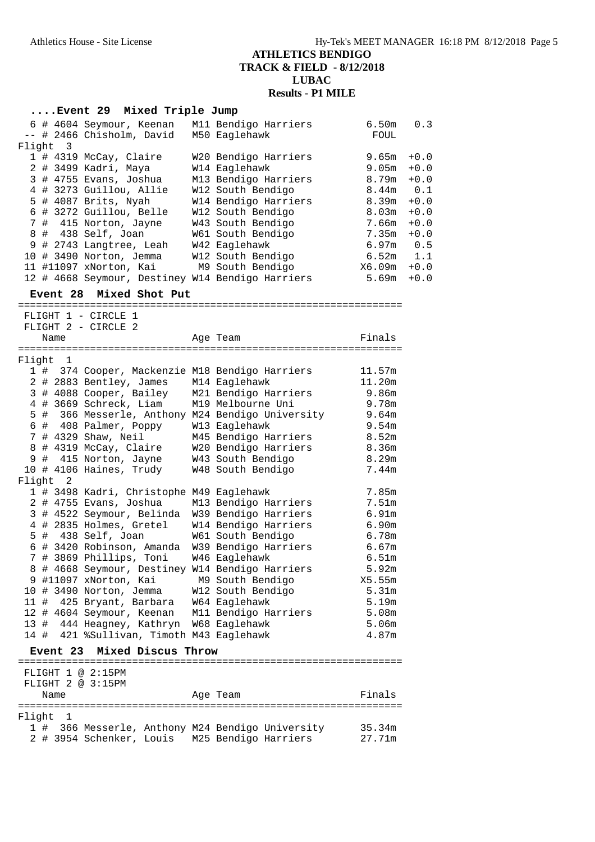## **....Event 29 Mixed Triple Jump**

|  |          | 6 # 4604 Seymour, Keenan                         | M11 Bendigo Harriers | 6.50m       | 0.3    |
|--|----------|--------------------------------------------------|----------------------|-------------|--------|
|  |          | -- # 2466 Chisholm, David                        | M50 Eaglehawk        | FOUL        |        |
|  | Flight 3 |                                                  |                      |             |        |
|  |          | 1 # 4319 McCay, Claire                           | W20 Bendigo Harriers | 9.65m       | $+0.0$ |
|  |          | 2 # 3499 Kadri, Maya                             | W14 Eaglehawk        | 9.05m       | $+0.0$ |
|  |          | 3 # 4755 Evans, Joshua                           | M13 Bendigo Harriers | 8.79m       | $+0.0$ |
|  |          | 4 # 3273 Guillou, Allie                          | W12 South Bendigo    | 8.44m       | 0.1    |
|  |          | $5$ # 4087 Brits, Nyah                           | W14 Bendigo Harriers | 8.39m       | $+0.0$ |
|  |          | 6 # 3272 Guillou, Belle                          | W12 South Bendigo    | 8.03m       | $+0.0$ |
|  |          | 7 # 415 Norton, Jayne                            | W43 South Bendigo    | 7.66m       | $+0.0$ |
|  |          | 8 # 438 Self, Joan                               | W61 South Bendigo    | 7.35m       | $+0.0$ |
|  |          | 9 # 2743 Langtree, Leah                          | W42 Eaglehawk        | $6.97m$ 0.5 |        |
|  |          | 10 # 3490 Norton, Jemma                          | W12 South Bendigo    | $6.52m$ 1.1 |        |
|  |          | 11 #11097 xNorton, Kai                           | M9 South Bendigo     | X6.09m      | $+0.0$ |
|  |          | 12 # 4668 Seymour, Destiney W14 Bendigo Harriers |                      | 5.69m       | $+0.0$ |
|  |          |                                                  |                      |             |        |

#### **Event 28 Mixed Shot Put**

================================================================

| FLIGHT 1 - CIRCLE<br>- 1 |  |                            |                                                 |  |                                                  |        |
|--------------------------|--|----------------------------|-------------------------------------------------|--|--------------------------------------------------|--------|
|                          |  |                            | FLIGHT 2 - CIRCLE 2                             |  |                                                  |        |
| Name                     |  |                            |                                                 |  | Age Team                                         | Finals |
|                          |  |                            | :================                               |  |                                                  |        |
| Flight                   |  | 1                          |                                                 |  |                                                  |        |
|                          |  |                            | 1 # 374 Cooper, Mackenzie M18 Bendigo Harriers  |  |                                                  | 11.57m |
|                          |  |                            | 2 # 2883 Bentley, James                         |  | M14 Eaglehawk                                    | 11.20m |
|                          |  |                            | 3 # 4088 Cooper, Bailey                         |  | M21 Bendigo Harriers                             | 9.86m  |
|                          |  |                            | 4 # 3669 Schreck, Liam                          |  | M19 Melbourne Uni                                | 9.78m  |
|                          |  |                            |                                                 |  | 5 # 366 Messerle, Anthony M24 Bendigo University | 9.64m  |
|                          |  |                            | 6 # 408 Palmer, Poppy                           |  | W13 Eaglehawk                                    | 9.54m  |
|                          |  |                            | 7 # 4329 Shaw, Neil                             |  | M45 Bendigo Harriers                             | 8.52m  |
|                          |  |                            | 8 # 4319 McCay, Claire                          |  | W20 Bendigo Harriers                             | 8.36m  |
|                          |  |                            | 9 # 415 Norton, Jayne                           |  | W43 South Bendigo                                | 8.29m  |
|                          |  |                            | 10 # 4106 Haines, Trudy                         |  | W48 South Bendigo                                | 7.44m  |
| Flight                   |  | $\overline{\phantom{0}}^2$ |                                                 |  |                                                  |        |
|                          |  |                            | 1 # 3498 Kadri, Christophe M49 Eaglehawk        |  |                                                  | 7.85m  |
|                          |  |                            | 2 # 4755 Evans, Joshua                          |  | M13 Bendigo Harriers                             | 7.51m  |
|                          |  |                            | 3 # 4522 Seymour, Belinda                       |  | W39 Bendigo Harriers                             | 6.91m  |
|                          |  |                            | 4 # 2835 Holmes, Gretel                         |  | W14 Bendigo Harriers                             | 6.90m  |
|                          |  |                            | 5 # 438 Self, Joan                              |  | W61 South Bendigo                                | 6.78m  |
|                          |  |                            | 6 # 3420 Robinson, Amanda                       |  | W39 Bendigo Harriers                             | 6.67m  |
|                          |  |                            | 7 # 3869 Phillips, Toni                         |  | W46 Eaglehawk                                    | 6.51m  |
|                          |  |                            | 8 # 4668 Seymour, Destiney W14 Bendigo Harriers |  |                                                  | 5.92m  |
|                          |  |                            | 9 #11097 xNorton, Kai M9 South Bendigo          |  |                                                  | X5.55m |
|                          |  |                            | 10 # 3490 Norton, Jemma W12 South Bendigo       |  |                                                  | 5.31m  |
|                          |  |                            | 11 #  425 Bryant, Barbara                       |  | W64 Eaglehawk                                    | 5.19m  |
|                          |  |                            | 12 # 4604 Seymour, Keenan                       |  | M11 Bendigo Harriers                             | 5.08m  |
|                          |  |                            | 13 # 444 Heagney, Kathryn W68 Eaglehawk         |  |                                                  | 5.06m  |
|                          |  |                            | 14 # 421 %Sullivan, Timoth M43 Eaglehawk        |  |                                                  | 4.87m  |
|                          |  | <b>Event 23</b>            | Mixed Discus Throw                              |  |                                                  |        |
|                          |  |                            |                                                 |  |                                                  |        |
|                          |  |                            | FLIGHT 1 @ 2:15PM                               |  |                                                  |        |
|                          |  |                            | FLIGHT 2 @ 3:15PM                               |  |                                                  |        |
|                          |  | Name                       |                                                 |  | Age Team                                         | Finals |
|                          |  |                            |                                                 |  |                                                  |        |
| Flight                   |  | $\mathbf{1}$               |                                                 |  |                                                  |        |
|                          |  |                            |                                                 |  | 1 # 366 Messerle, Anthony M24 Bendigo University | 35.34m |
|                          |  |                            | 2 # 3954 Schenker, Louis                        |  | M25 Bendigo Harriers                             | 27.71m |